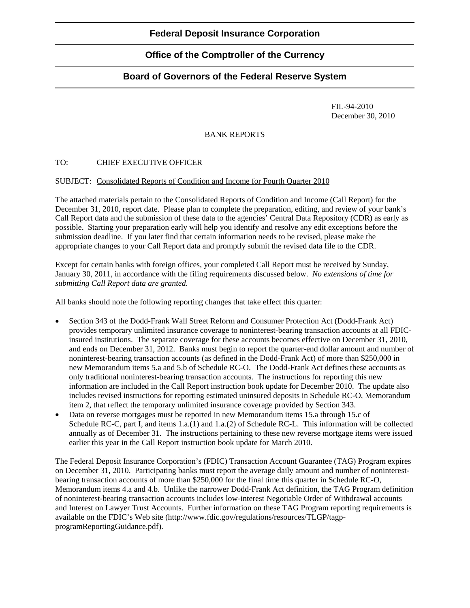## **Federal Deposit Insurance Corporation**

# **Office of the Comptroller of the Currency**

## **Board of Governors of the Federal Reserve System**

 FIL-94-2010 December 30, 2010

### BANK REPORTS

### TO: CHIEF EXECUTIVE OFFICER

#### SUBJECT: Consolidated Reports of Condition and Income for Fourth Quarter 2010

The attached materials pertain to the Consolidated Reports of Condition and Income (Call Report) for the December 31, 2010, report date. Please plan to complete the preparation, editing, and review of your bank's Call Report data and the submission of these data to the agencies' Central Data Repository (CDR) as early as possible. Starting your preparation early will help you identify and resolve any edit exceptions before the submission deadline. If you later find that certain information needs to be revised, please make the appropriate changes to your Call Report data and promptly submit the revised data file to the CDR.

Except for certain banks with foreign offices, your completed Call Report must be received by Sunday, January 30, 2011, in accordance with the filing requirements discussed below. *No extensions of time for submitting Call Report data are granted.* 

All banks should note the following reporting changes that take effect this quarter:

- Section 343 of the Dodd-Frank Wall Street Reform and Consumer Protection Act (Dodd-Frank Act) provides temporary unlimited insurance coverage to noninterest-bearing transaction accounts at all FDICinsured institutions. The separate coverage for these accounts becomes effective on December 31, 2010, and ends on December 31, 2012. Banks must begin to report the quarter-end dollar amount and number of noninterest-bearing transaction accounts (as defined in the Dodd-Frank Act) of more than \$250,000 in new Memorandum items 5.a and 5.b of Schedule RC-O. The Dodd-Frank Act defines these accounts as only traditional noninterest-bearing transaction accounts. The instructions for reporting this new information are included in the Call Report instruction book update for December 2010. The update also includes revised instructions for reporting estimated uninsured deposits in Schedule RC-O, Memorandum item 2, that reflect the temporary unlimited insurance coverage provided by Section 343.
- Data on reverse mortgages must be reported in new Memorandum items 15.a through 15.c of Schedule RC-C, part I, and items 1.a.(1) and 1.a.(2) of Schedule RC-L. This information will be collected annually as of December 31. The instructions pertaining to these new reverse mortgage items were issued earlier this year in the Call Report instruction book update for March 2010.

The Federal Deposit Insurance Corporation's (FDIC) Transaction Account Guarantee (TAG) Program expires on December 31, 2010. Participating banks must report the average daily amount and number of noninterestbearing transaction accounts of more than \$250,000 for the final time this quarter in Schedule RC-O, Memorandum items 4.a and 4.b. Unlike the narrower Dodd-Frank Act definition, the TAG Program definition of noninterest-bearing transaction accounts includes low-interest Negotiable Order of Withdrawal accounts and Interest on Lawyer Trust Accounts. Further information on these TAG Program reporting requirements is available on the FDIC's Web site (http://www.fdic.gov/regulations/resources/TLGP/tagpprogramReportingGuidance.pdf).